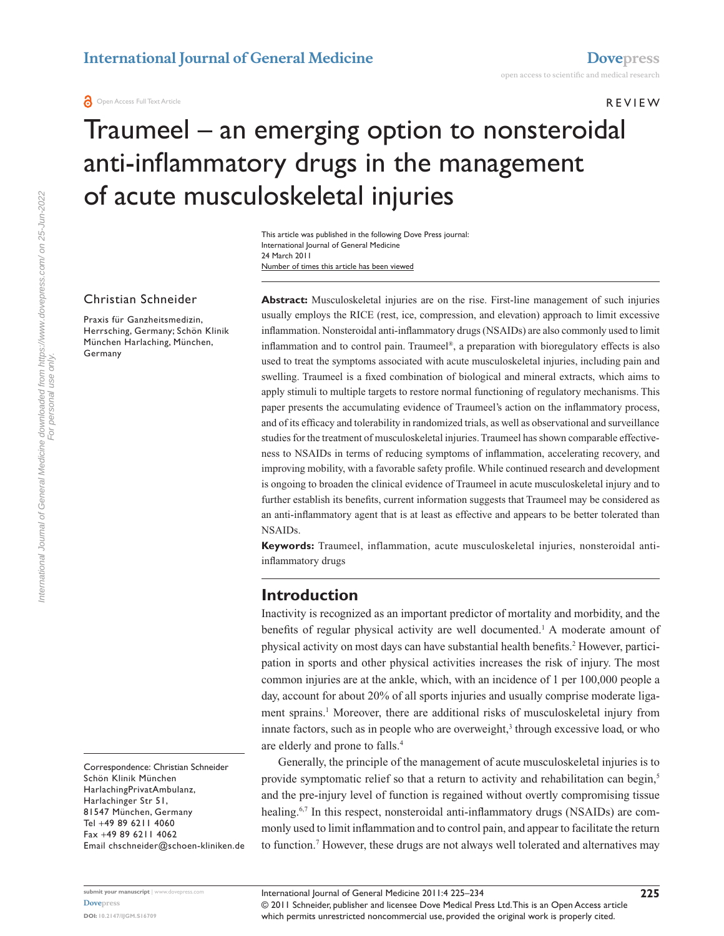#### **REVIEW**

# Traumeel – an emerging option to nonsteroidal anti-inflammatory drugs in the management of acute musculoskeletal injuries

Number of times this article has been viewed This article was published in the following Dove Press journal: International Journal of General Medicine 24 March 2011

### Christian Schneider

Praxis für Ganzheitsmedizin, Herrsching, Germany; Schön Klinik München Harlaching, München, Germany

**Abstract:** Musculoskeletal injuries are on the rise. First-line management of such injuries usually employs the RICE (rest, ice, compression, and elevation) approach to limit excessive inflammation. Nonsteroidal anti-inflammatory drugs (NSAIDs) are also commonly used to limit inflammation and to control pain. Traumeel®, a preparation with bioregulatory effects is also used to treat the symptoms associated with acute musculoskeletal injuries, including pain and swelling. Traumeel is a fixed combination of biological and mineral extracts, which aims to apply stimuli to multiple targets to restore normal functioning of regulatory mechanisms. This paper presents the accumulating evidence of Traumeel's action on the inflammatory process, and of its efficacy and tolerability in randomized trials, as well as observational and surveillance studies for the treatment of musculoskeletal injuries. Traumeel has shown comparable effectiveness to NSAIDs in terms of reducing symptoms of inflammation, accelerating recovery, and improving mobility, with a favorable safety profile. While continued research and development is ongoing to broaden the clinical evidence of Traumeel in acute musculoskeletal injury and to further establish its benefits, current information suggests that Traumeel may be considered as an anti-inflammatory agent that is at least as effective and appears to be better tolerated than NSAIDs.

**Keywords:** Traumeel, inflammation, acute musculoskeletal injuries, nonsteroidal antiinflammatory drugs

### **Introduction**

Inactivity is recognized as an important predictor of mortality and morbidity, and the benefits of regular physical activity are well documented.<sup>1</sup> A moderate amount of physical activity on most days can have substantial health benefits.<sup>2</sup> However, participation in sports and other physical activities increases the risk of injury. The most common injuries are at the ankle, which, with an incidence of 1 per 100,000 people a day, account for about 20% of all sports injuries and usually comprise moderate ligament sprains.<sup>1</sup> Moreover, there are additional risks of musculoskeletal injury from innate factors, such as in people who are overweight,<sup>3</sup> through excessive load, or who are elderly and prone to falls.4

Generally, the principle of the management of acute musculoskeletal injuries is to provide symptomatic relief so that a return to activity and rehabilitation can begin,<sup>5</sup> and the pre-injury level of function is regained without overtly compromising tissue healing.<sup>6,7</sup> In this respect, nonsteroidal anti-inflammatory drugs (NSAIDs) are commonly used to limit inflammation and to control pain, and appear to facilitate the return to function.7 However, these drugs are not always well tolerated and alternatives may

Correspondence: Christian Schneider Schön Klinik München HarlachingPrivatAmbulanz, Harlachinger Str 51, 81547 München, Germany Tel +49 89 6211 4060 Fax +49 89 6211 4062 Email [chschneider@schoen-kliniken.de](mailto:chschneider@schoen-kliniken.de)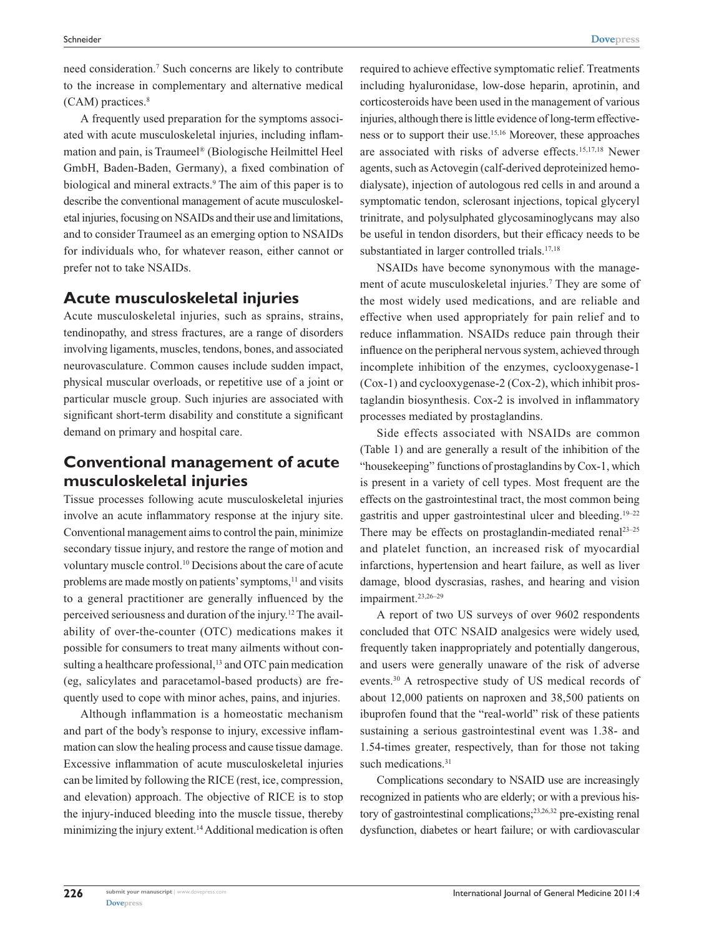need consideration.7 Such concerns are likely to contribute to the increase in complementary and alternative medical (CAM) practices.8

A frequently used preparation for the symptoms associated with acute musculoskeletal injuries, including inflammation and pain, is Traumeel® (Biologische Heilmittel Heel GmbH, Baden-Baden, Germany), a fixed combination of biological and mineral extracts.<sup>9</sup> The aim of this paper is to describe the conventional management of acute musculoskeletal injuries, focusing on NSAIDs and their use and limitations, and to consider Traumeel as an emerging option to NSAIDs for individuals who, for whatever reason, either cannot or prefer not to take NSAIDs.

### **Acute musculoskeletal injuries**

Acute musculoskeletal injuries, such as sprains, strains, tendinopathy, and stress fractures, are a range of disorders involving ligaments, muscles, tendons, bones, and associated neurovasculature. Common causes include sudden impact, physical muscular overloads, or repetitive use of a joint or particular muscle group. Such injuries are associated with significant short-term disability and constitute a significant demand on primary and hospital care.

# **Conventional management of acute musculoskeletal injuries**

Tissue processes following acute musculoskeletal injuries involve an acute inflammatory response at the injury site. Conventional management aims to control the pain, minimize secondary tissue injury, and restore the range of motion and voluntary muscle control.10 Decisions about the care of acute problems are made mostly on patients' symptoms,<sup>11</sup> and visits to a general practitioner are generally influenced by the perceived seriousness and duration of the injury.12 The availability of over-the-counter (OTC) medications makes it possible for consumers to treat many ailments without consulting a healthcare professional,<sup>13</sup> and OTC pain medication (eg, salicylates and paracetamol-based products) are frequently used to cope with minor aches, pains, and injuries.

Although inflammation is a homeostatic mechanism and part of the body's response to injury, excessive inflammation can slow the healing process and cause tissue damage. Excessive inflammation of acute musculoskeletal injuries can be limited by following the RICE (rest, ice, compression, and elevation) approach. The objective of RICE is to stop the injury-induced bleeding into the muscle tissue, thereby minimizing the injury extent.<sup>14</sup> Additional medication is often required to achieve effective symptomatic relief. Treatments including hyaluronidase, low-dose heparin, aprotinin, and corticosteroids have been used in the management of various injuries, although there is little evidence of long-term effectiveness or to support their use.15,16 Moreover, these approaches are associated with risks of adverse effects.15,17,18 Newer agents, such as Actovegin (calf-derived deproteinized hemodialysate), injection of autologous red cells in and around a symptomatic tendon, sclerosant injections, topical glyceryl trinitrate, and polysulphated glycosaminoglycans may also be useful in tendon disorders, but their efficacy needs to be substantiated in larger controlled trials.<sup>17,18</sup>

NSAIDs have become synonymous with the management of acute musculoskeletal injuries.<sup>7</sup> They are some of the most widely used medications, and are reliable and effective when used appropriately for pain relief and to reduce inflammation. NSAIDs reduce pain through their influence on the peripheral nervous system, achieved through incomplete inhibition of the enzymes, cyclooxygenase-1 (Cox-1) and cyclooxygenase-2 (Cox-2), which inhibit prostaglandin biosynthesis. Cox-2 is involved in inflammatory processes mediated by prostaglandins.

Side effects associated with NSAIDs are common (Table 1) and are generally a result of the inhibition of the "housekeeping" functions of prostaglandins by Cox-1, which is present in a variety of cell types. Most frequent are the effects on the gastrointestinal tract, the most common being gastritis and upper gastrointestinal ulcer and bleeding.19–22 There may be effects on prostaglandin-mediated renal<sup>23-25</sup> and platelet function, an increased risk of myocardial infarctions, hypertension and heart failure, as well as liver damage, blood dyscrasias, rashes, and hearing and vision impairment.23,26–29

A report of two US surveys of over 9602 respondents concluded that OTC NSAID analgesics were widely used, frequently taken inappropriately and potentially dangerous, and users were generally unaware of the risk of adverse events.30 A retrospective study of US medical records of about 12,000 patients on naproxen and 38,500 patients on ibuprofen found that the "real-world" risk of these patients sustaining a serious gastrointestinal event was 1.38- and 1.54-times greater, respectively, than for those not taking such medications.<sup>31</sup>

Complications secondary to NSAID use are increasingly recognized in patients who are elderly; or with a previous history of gastrointestinal complications;23,26,32 pre-existing renal dysfunction, diabetes or heart failure; or with cardiovascular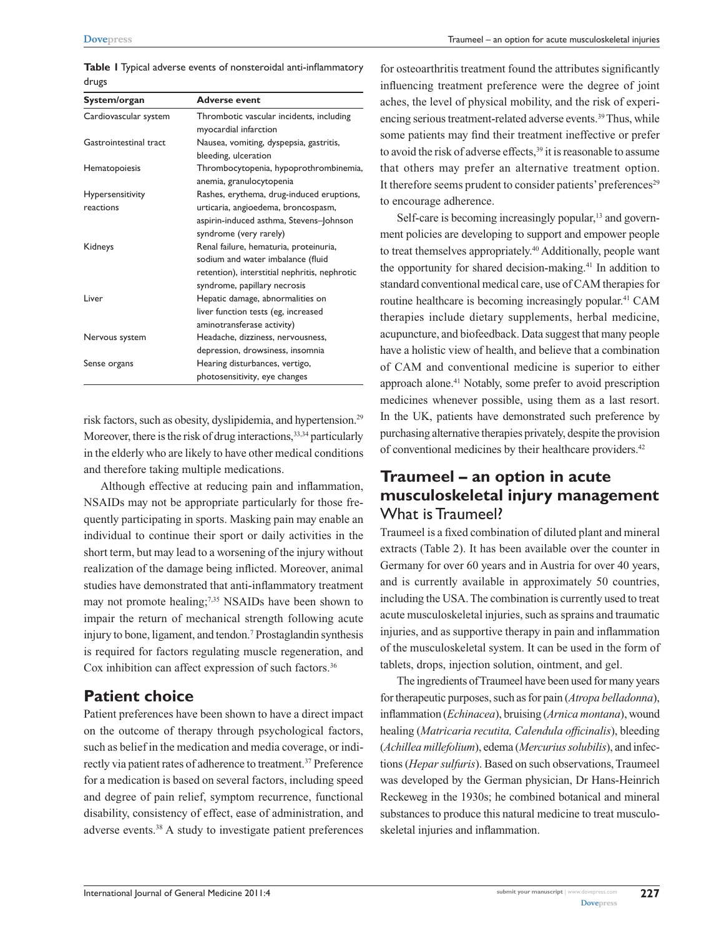|       |  |  | <b>Table I</b> Typical adverse events of nonsteroidal anti-inflammatory |  |
|-------|--|--|-------------------------------------------------------------------------|--|
| drugs |  |  |                                                                         |  |

| System/organ            | <b>Adverse event</b>                          |  |  |
|-------------------------|-----------------------------------------------|--|--|
| Cardiovascular system   | Thrombotic vascular incidents, including      |  |  |
|                         | myocardial infarction                         |  |  |
| Gastrointestinal tract  | Nausea, vomiting, dyspepsia, gastritis,       |  |  |
|                         | bleeding, ulceration                          |  |  |
| Hematopoiesis           | Thrombocytopenia, hypoprothrombinemia,        |  |  |
|                         | anemia, granulocytopenia                      |  |  |
| <b>Hypersensitivity</b> | Rashes, erythema, drug-induced eruptions,     |  |  |
| reactions               | urticaria, angioedema, broncospasm,           |  |  |
|                         | aspirin-induced asthma, Stevens-Johnson       |  |  |
|                         | syndrome (very rarely)                        |  |  |
| Kidneys                 | Renal failure, hematuria, proteinuria,        |  |  |
|                         | sodium and water imbalance (fluid             |  |  |
|                         | retention), interstitial nephritis, nephrotic |  |  |
|                         | syndrome, papillary necrosis                  |  |  |
| Liver                   | Hepatic damage, abnormalities on              |  |  |
|                         | liver function tests (eg, increased           |  |  |
|                         | aminotransferase activity)                    |  |  |
| Nervous system          | Headache, dizziness, nervousness,             |  |  |
|                         | depression, drowsiness, insomnia              |  |  |
| Sense organs            | Hearing disturbances, vertigo,                |  |  |
|                         | photosensitivity, eye changes                 |  |  |

risk factors, such as obesity, dyslipidemia, and hypertension.29 Moreover, there is the risk of drug interactions,<sup>33,34</sup> particularly in the elderly who are likely to have other medical conditions and therefore taking multiple medications.

Although effective at reducing pain and inflammation, NSAIDs may not be appropriate particularly for those frequently participating in sports. Masking pain may enable an individual to continue their sport or daily activities in the short term, but may lead to a worsening of the injury without realization of the damage being inflicted. Moreover, animal studies have demonstrated that anti-inflammatory treatment may not promote healing;<sup>7,35</sup> NSAIDs have been shown to impair the return of mechanical strength following acute injury to bone, ligament, and tendon.7 Prostaglandin synthesis is required for factors regulating muscle regeneration, and Cox inhibition can affect expression of such factors.<sup>36</sup>

### **Patient choice**

Patient preferences have been shown to have a direct impact on the outcome of therapy through psychological factors, such as belief in the medication and media coverage, or indirectly via patient rates of adherence to treatment.37 Preference for a medication is based on several factors, including speed and degree of pain relief, symptom recurrence, functional disability, consistency of effect, ease of administration, and adverse events.38 A study to investigate patient preferences for osteoarthritis treatment found the attributes significantly influencing treatment preference were the degree of joint aches, the level of physical mobility, and the risk of experiencing serious treatment-related adverse events.<sup>39</sup> Thus, while some patients may find their treatment ineffective or prefer to avoid the risk of adverse effects,<sup>39</sup> it is reasonable to assume that others may prefer an alternative treatment option. It therefore seems prudent to consider patients' preferences<sup>29</sup> to encourage adherence.

Self-care is becoming increasingly popular,<sup>13</sup> and government policies are developing to support and empower people to treat themselves appropriately.<sup>40</sup> Additionally, people want the opportunity for shared decision-making.<sup>41</sup> In addition to standard conventional medical care, use of CAM therapies for routine healthcare is becoming increasingly popular.<sup>41</sup> CAM therapies include dietary supplements, herbal medicine, acupuncture, and biofeedback. Data suggest that many people have a holistic view of health, and believe that a combination of CAM and conventional medicine is superior to either approach alone.41 Notably, some prefer to avoid prescription medicines whenever possible, using them as a last resort. In the UK, patients have demonstrated such preference by purchasing alternative therapies privately, despite the provision of conventional medicines by their healthcare providers.42

# **Traumeel – an option in acute musculoskeletal injury management** What is Traumeel?

Traumeel is a fixed combination of diluted plant and mineral extracts (Table 2). It has been available over the counter in Germany for over 60 years and in Austria for over 40 years, and is currently available in approximately 50 countries, including the USA. The combination is currently used to treat acute musculoskeletal injuries, such as sprains and traumatic injuries, and as supportive therapy in pain and inflammation of the musculoskeletal system. It can be used in the form of tablets, drops, injection solution, ointment, and gel.

The ingredients of Traumeel have been used for many years for therapeutic purposes, such as for pain (*Atropa belladonna*), inflammation (*Echinacea*), bruising (*Arnica montana*), wound healing (*Matricaria recutita, Calendula officinalis*), bleeding (*Achillea millefolium*), edema (*Mercurius solubilis*), and infections (*Hepar sulfuris*). Based on such observations, Traumeel was developed by the German physician, Dr Hans-Heinrich Reckeweg in the 1930s; he combined botanical and mineral substances to produce this natural medicine to treat musculoskeletal injuries and inflammation.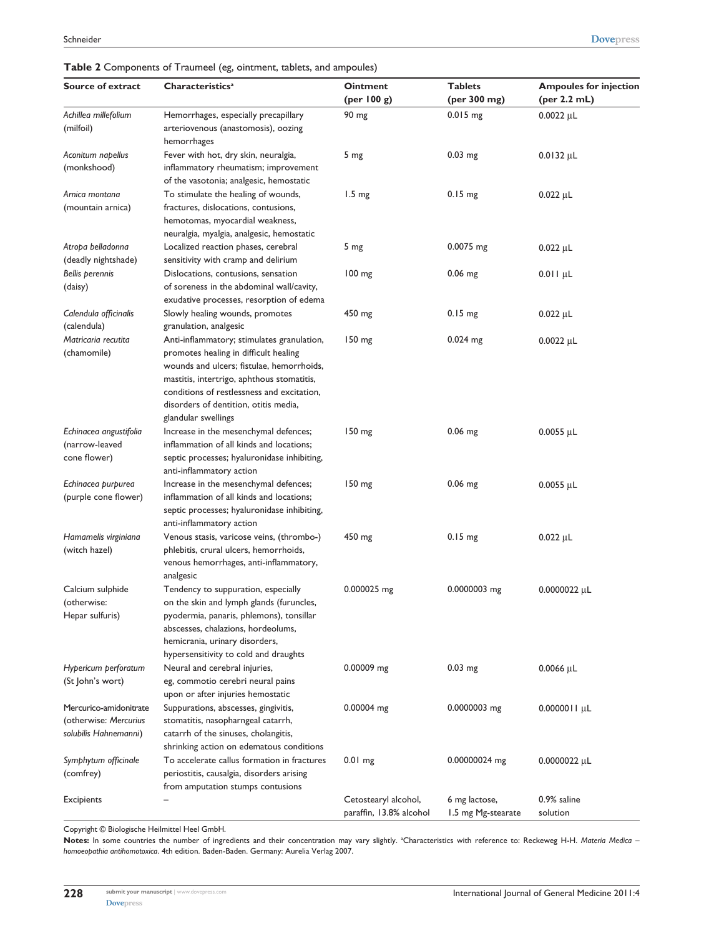#### **Table 2** Components of Traumeel (eg, ointment, tablets, and ampoules)

| <b>Source of extract</b>                                                 | Characteristics <sup>a</sup>                                                                                                                                                                                                                                                                 | <b>Ointment</b><br>(per $100 g$ )               | <b>Tablets</b><br>(per 300 mg)      | <b>Ampoules for injection</b><br>(per 2.2 mL) |
|--------------------------------------------------------------------------|----------------------------------------------------------------------------------------------------------------------------------------------------------------------------------------------------------------------------------------------------------------------------------------------|-------------------------------------------------|-------------------------------------|-----------------------------------------------|
| Achillea millefolium<br>(milfoil)                                        | Hemorrhages, especially precapillary<br>arteriovenous (anastomosis), oozing<br>hemorrhages                                                                                                                                                                                                   | 90 mg                                           | $0.015$ mg                          | $0.0022 \mu L$                                |
| Aconitum napellus<br>(monkshood)                                         | Fever with hot, dry skin, neuralgia,<br>inflammatory rheumatism; improvement<br>of the vasotonia; analgesic, hemostatic                                                                                                                                                                      | 5 mg                                            | $0.03$ mg                           | $0.0132 \mu L$                                |
| Arnica montana<br>(mountain arnica)                                      | To stimulate the healing of wounds,<br>fractures, dislocations, contusions,<br>hemotomas, myocardial weakness,<br>neuralgia, myalgia, analgesic, hemostatic                                                                                                                                  | $1.5 \text{ mg}$                                | $0.15$ mg                           | $0.022 \mu L$                                 |
| Atropa belladonna<br>(deadly nightshade)                                 | Localized reaction phases, cerebral<br>sensitivity with cramp and delirium                                                                                                                                                                                                                   | 5 mg                                            | 0.0075 mg                           | $0.022 \mu L$                                 |
| <b>Bellis perennis</b><br>(daisy)                                        | Dislocations, contusions, sensation<br>of soreness in the abdominal wall/cavity,<br>exudative processes, resorption of edema                                                                                                                                                                 | 100 mg                                          | $0.06$ mg                           | $0.011 \mu L$                                 |
| Calendula officinalis<br>(calendula)                                     | Slowly healing wounds, promotes<br>granulation, analgesic                                                                                                                                                                                                                                    | 450 mg                                          | $0.15$ mg                           | $0.022 \mu L$                                 |
| Matricaria recutita<br>(chamomile)                                       | Anti-inflammatory; stimulates granulation,<br>promotes healing in difficult healing<br>wounds and ulcers; fistulae, hemorrhoids,<br>mastitis, intertrigo, aphthous stomatitis,<br>conditions of restlessness and excitation,<br>disorders of dentition, otitis media,<br>glandular swellings | 150 mg                                          | $0.024$ mg                          | $0.0022 \mu L$                                |
| Echinacea angustifolia<br>(narrow-leaved<br>cone flower)                 | Increase in the mesenchymal defences;<br>inflammation of all kinds and locations;<br>septic processes; hyaluronidase inhibiting,<br>anti-inflammatory action                                                                                                                                 | 150 mg                                          | $0.06$ mg                           | $0.0055 \mu L$                                |
| Echinacea purpurea<br>(purple cone flower)                               | Increase in the mesenchymal defences;<br>inflammation of all kinds and locations;<br>septic processes; hyaluronidase inhibiting,<br>anti-inflammatory action                                                                                                                                 | 150 mg                                          | $0.06$ mg                           | $0.0055 \mu L$                                |
| Hamamelis virginiana<br>(witch hazel)                                    | Venous stasis, varicose veins, (thrombo-)<br>phlebitis, crural ulcers, hemorrhoids,<br>venous hemorrhages, anti-inflammatory,<br>analgesic                                                                                                                                                   | 450 mg                                          | $0.15$ mg                           | $0.022 \mu L$                                 |
| Calcium sulphide<br>(otherwise:<br>Hepar sulfuris)                       | Tendency to suppuration, especially<br>on the skin and lymph glands (furuncles,<br>pyodermia, panaris, phlemons), tonsillar<br>abscesses, chalazions, hordeolums,<br>hemicrania, urinary disorders,<br>hypersensitivity to cold and draughts                                                 | 0.000025 mg                                     | 0.0000003 mg                        | $0.0000022 \mu L$                             |
| Hypericum perforatum<br>(St John's wort)                                 | Neural and cerebral injuries,<br>eg, commotio cerebri neural pains<br>upon or after injuries hemostatic                                                                                                                                                                                      | 0.00009 mg                                      | $0.03$ mg                           | $0.0066 \mu L$                                |
| Mercurico-amidonitrate<br>(otherwise: Mercurius<br>solubilis Hahnemanni) | Suppurations, abscesses, gingivitis,<br>stomatitis, nasopharngeal catarrh,<br>catarrh of the sinuses, cholangitis,<br>shrinking action on edematous conditions                                                                                                                               | 0.00004 mg                                      | 0.0000003 mg                        | $0.0000011 \mu L$                             |
| Symphytum officinale<br>(comfrey)                                        | To accelerate callus formation in fractures<br>periostitis, causalgia, disorders arising<br>from amputation stumps contusions                                                                                                                                                                | $0.01$ mg                                       | 0.00000024 mg                       | $0.0000022 \mu L$                             |
| Excipients                                                               |                                                                                                                                                                                                                                                                                              | Cetostearyl alcohol,<br>paraffin, 13.8% alcohol | 6 mg lactose,<br>1.5 mg Mg-stearate | 0.9% saline<br>solution                       |

Copyright © Biologische Heilmittel Heel GmbH.

Notes: In some countries the number of ingredients and their concentration may vary slightly. <sup>a</sup>Characteristics with reference to: Reckeweg H-H. Materia Medica *homoeopathia antihomotoxica*. 4th edition. Baden-Baden. Germany: Aurelia Verlag 2007.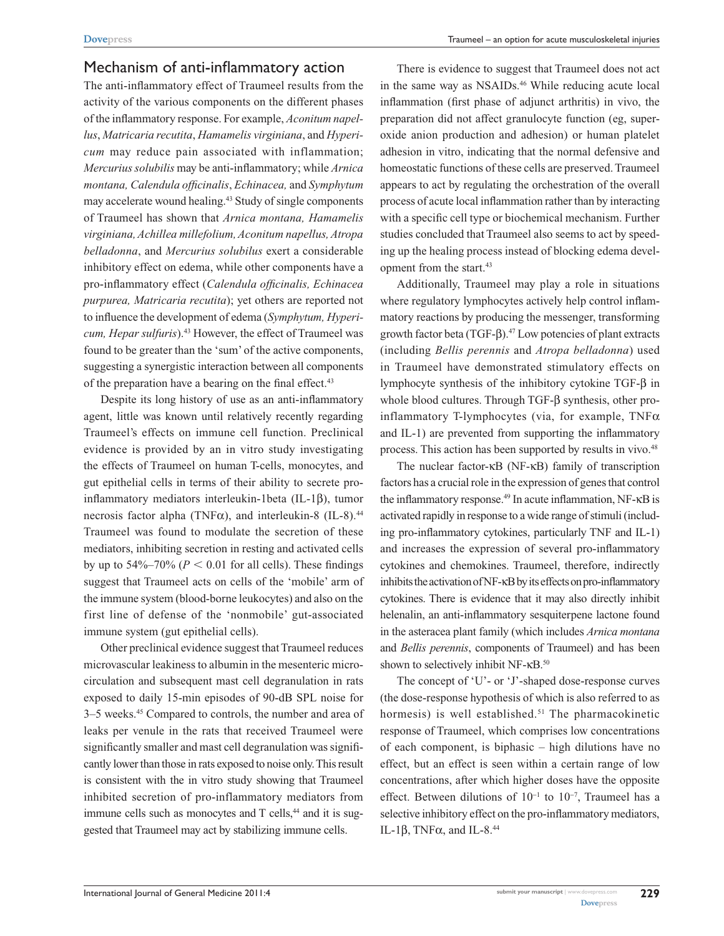### Mechanism of anti-inflammatory action

The anti-inflammatory effect of Traumeel results from the activity of the various components on the different phases of the inflammatory response. For example, *Aconitum napellus*, *matricaria recutita*, *Hamamelis virginiana*, and *Hypericum* may reduce pain associated with inflammation; *Mercurius solubilis* may be anti-inflammatory; while *Arnica montana, Calendula officinalis*, *Echinacea,* and *Symphytum* may accelerate wound healing.43 Study of single components of Traumeel has shown that *Arnica montana, Hamamelis virginiana, Achillea millefolium, Aconitum napellus, Atropa belladonna*, and *Mercurius solubilus* exert a considerable inhibitory effect on edema, while other components have a pro-inflammatory effect (*Calendula officinalis, Echinacea purpurea, matricaria recutita*); yet others are reported not to influence the development of edema (*Symphytum, Hypericum, Hepar sulfuris*).43 However, the effect of Traumeel was found to be greater than the 'sum' of the active components, suggesting a synergistic interaction between all components of the preparation have a bearing on the final effect.<sup>43</sup>

Despite its long history of use as an anti-inflammatory agent, little was known until relatively recently regarding Traumeel's effects on immune cell function. Preclinical evidence is provided by an in vitro study investigating the effects of Traumeel on human T-cells, monocytes, and gut epithelial cells in terms of their ability to secrete proinflammatory mediators interleukin-1beta (IL-1β), tumor necrosis factor alpha (TNF $\alpha$ ), and interleukin-8 (IL-8).<sup>44</sup> Traumeel was found to modulate the secretion of these mediators, inhibiting secretion in resting and activated cells by up to  $54\% - 70\%$  ( $P < 0.01$  for all cells). These findings suggest that Traumeel acts on cells of the 'mobile' arm of the immune system (blood-borne leukocytes) and also on the first line of defense of the 'nonmobile' gut-associated immune system (gut epithelial cells).

Other preclinical evidence suggest that Traumeel reduces microvascular leakiness to albumin in the mesenteric microcirculation and subsequent mast cell degranulation in rats exposed to daily 15-min episodes of 90-dB SPL noise for 3–5 weeks.45 Compared to controls, the number and area of leaks per venule in the rats that received Traumeel were significantly smaller and mast cell degranulation was significantly lower than those in rats exposed to noise only. This result is consistent with the in vitro study showing that Traumeel inhibited secretion of pro-inflammatory mediators from immune cells such as monocytes and T cells,<sup>44</sup> and it is suggested that Traumeel may act by stabilizing immune cells.

There is evidence to suggest that Traumeel does not act in the same way as NSAIDs.<sup>46</sup> While reducing acute local inflammation (first phase of adjunct arthritis) in vivo, the preparation did not affect granulocyte function (eg, superoxide anion production and adhesion) or human platelet adhesion in vitro, indicating that the normal defensive and homeostatic functions of these cells are preserved. Traumeel appears to act by regulating the orchestration of the overall process of acute local inflammation rather than by interacting with a specific cell type or biochemical mechanism. Further studies concluded that Traumeel also seems to act by speeding up the healing process instead of blocking edema development from the start.43

Additionally, Traumeel may play a role in situations where regulatory lymphocytes actively help control inflammatory reactions by producing the messenger, transforming growth factor beta (TGF-β).47 Low potencies of plant extracts (including *Bellis perennis* and *Atropa belladonna*) used in Traumeel have demonstrated stimulatory effects on lymphocyte synthesis of the inhibitory cytokine TGF-β in whole blood cultures. Through TGF-β synthesis, other proinflammatory T-lymphocytes (via, for example, TNFα and IL-1) are prevented from supporting the inflammatory process. This action has been supported by results in vivo.<sup>48</sup>

The nuclear factor-κB (NF-κB) family of transcription factors has a crucial role in the expression of genes that control the inflammatory response.49 In acute inflammation, NF-κB is activated rapidly in response to a wide range of stimuli (including pro-inflammatory cytokines, particularly TNF and IL-1) and increases the expression of several pro-inflammatory cytokines and chemokines. Traumeel, therefore, indirectly inhibits the activation of NF-κB by its effects on pro-inflammatory cytokines. There is evidence that it may also directly inhibit helenalin, an anti-inflammatory sesquiterpene lactone found in the asteracea plant family (which includes *Arnica montana* and *Bellis perennis*, components of Traumeel) and has been shown to selectively inhibit NF-κB.<sup>50</sup>

The concept of 'U'- or 'J'-shaped dose-response curves (the dose-response hypothesis of which is also referred to as hormesis) is well established.<sup>51</sup> The pharmacokinetic response of Traumeel, which comprises low concentrations of each component, is biphasic – high dilutions have no effect, but an effect is seen within a certain range of low concentrations, after which higher doses have the opposite effect. Between dilutions of  $10^{-1}$  to  $10^{-7}$ , Traumeel has a selective inhibitory effect on the pro-inflammatory mediators, IL-1β, TNFα, and IL-8. $44$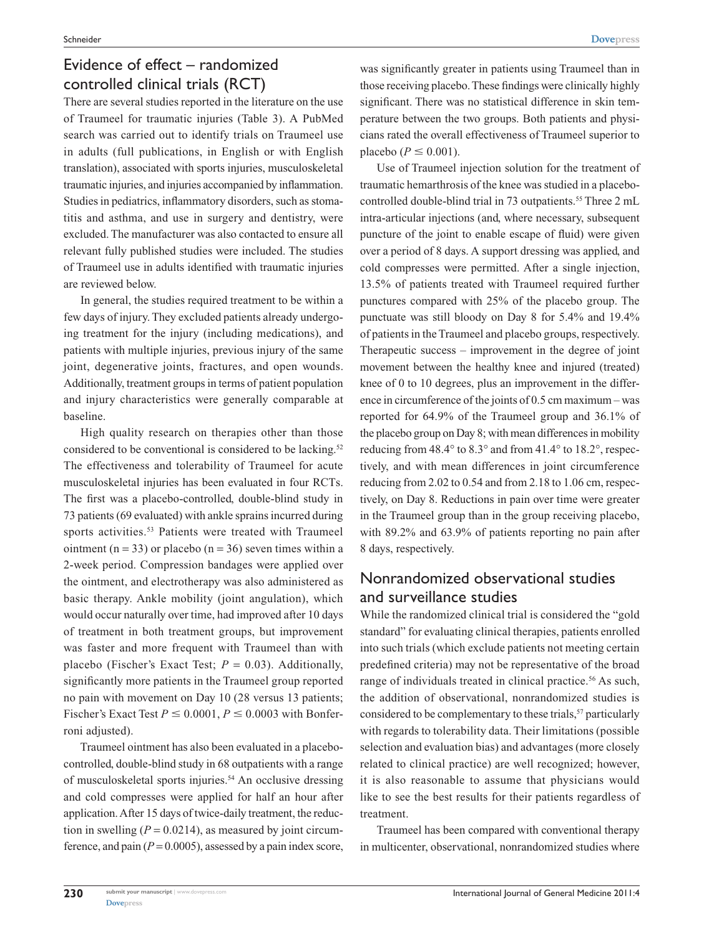# Evidence of effect – randomized controlled clinical trials (RCT)

There are several studies reported in the literature on the use of Traumeel for traumatic injuries (Table 3). A PubMed search was carried out to identify trials on Traumeel use in adults (full publications, in English or with English translation), associated with sports injuries, musculoskeletal traumatic injuries, and injuries accompanied by inflammation. Studies in pediatrics, inflammatory disorders, such as stomatitis and asthma, and use in surgery and dentistry, were excluded. The manufacturer was also contacted to ensure all relevant fully published studies were included. The studies of Traumeel use in adults identified with traumatic injuries are reviewed below.

In general, the studies required treatment to be within a few days of injury. They excluded patients already undergoing treatment for the injury (including medications), and patients with multiple injuries, previous injury of the same joint, degenerative joints, fractures, and open wounds. Additionally, treatment groups in terms of patient population and injury characteristics were generally comparable at baseline.

High quality research on therapies other than those considered to be conventional is considered to be lacking.<sup>52</sup> The effectiveness and tolerability of Traumeel for acute musculoskeletal injuries has been evaluated in four RCTs. The first was a placebo-controlled, double-blind study in 73 patients (69 evaluated) with ankle sprains incurred during sports activities.53 Patients were treated with Traumeel ointment (n = 33) or placebo (n = 36) seven times within a 2-week period. Compression bandages were applied over the ointment, and electrotherapy was also administered as basic therapy. Ankle mobility (joint angulation), which would occur naturally over time, had improved after 10 days of treatment in both treatment groups, but improvement was faster and more frequent with Traumeel than with placebo (Fischer's Exact Test;  $P = 0.03$ ). Additionally, significantly more patients in the Traumeel group reported no pain with movement on Day 10 (28 versus 13 patients; Fischer's Exact Test  $P \le 0.0001$ ,  $P \le 0.0003$  with Bonferroni adjusted).

Traumeel ointment has also been evaluated in a placebocontrolled, double-blind study in 68 outpatients with a range of musculoskeletal sports injuries.<sup>54</sup> An occlusive dressing and cold compresses were applied for half an hour after application. After 15 days of twice-daily treatment, the reduction in swelling  $(P = 0.0214)$ , as measured by joint circumference, and pain  $(P = 0.0005)$ , assessed by a pain index score, was significantly greater in patients using Traumeel than in those receiving placebo. These findings were clinically highly significant. There was no statistical difference in skin temperature between the two groups. Both patients and physicians rated the overall effectiveness of Traumeel superior to placebo ( $P \leq 0.001$ ).

Use of Traumeel injection solution for the treatment of traumatic hemarthrosis of the knee was studied in a placebocontrolled double-blind trial in 73 outpatients.<sup>55</sup> Three 2 mL intra-articular injections (and, where necessary, subsequent puncture of the joint to enable escape of fluid) were given over a period of 8 days. A support dressing was applied, and cold compresses were permitted. After a single injection, 13.5% of patients treated with Traumeel required further punctures compared with 25% of the placebo group. The punctuate was still bloody on Day 8 for 5.4% and 19.4% of patients in the Traumeel and placebo groups, respectively. Therapeutic success – improvement in the degree of joint movement between the healthy knee and injured (treated) knee of 0 to 10 degrees, plus an improvement in the difference in circumference of the joints of 0.5 cm maximum – was reported for 64.9% of the Traumeel group and 36.1% of the placebo group on Day 8; with mean differences in mobility reducing from 48.4° to 8.3° and from 41.4° to 18.2°, respectively, and with mean differences in joint circumference reducing from 2.02 to 0.54 and from 2.18 to 1.06 cm, respectively, on Day 8. Reductions in pain over time were greater in the Traumeel group than in the group receiving placebo, with 89.2% and 63.9% of patients reporting no pain after 8 days, respectively.

# Nonrandomized observational studies and surveillance studies

While the randomized clinical trial is considered the "gold standard" for evaluating clinical therapies, patients enrolled into such trials (which exclude patients not meeting certain predefined criteria) may not be representative of the broad range of individuals treated in clinical practice.<sup>56</sup> As such, the addition of observational, nonrandomized studies is considered to be complementary to these trials,<sup>57</sup> particularly with regards to tolerability data. Their limitations (possible selection and evaluation bias) and advantages (more closely related to clinical practice) are well recognized; however, it is also reasonable to assume that physicians would like to see the best results for their patients regardless of treatment.

Traumeel has been compared with conventional therapy in multicenter, observational, nonrandomized studies where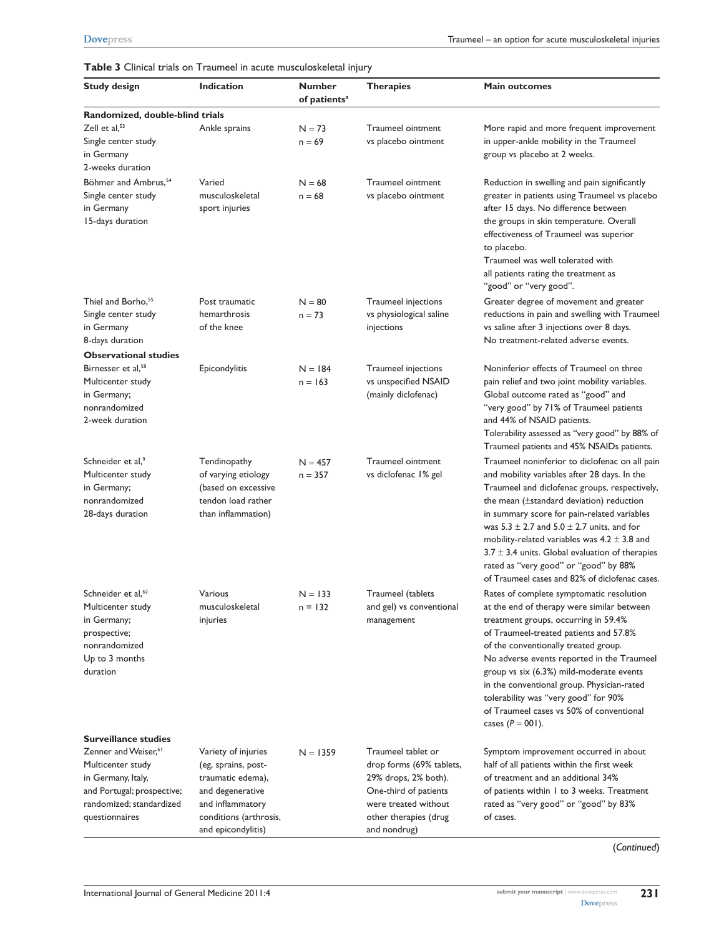| <b>Study design</b>                                                                                                                                                                    | <b>Indication</b>                                                                                                                                       | <b>Number</b><br>of patients <sup>a</sup> | <b>Therapies</b>                                                                                                                                                 | <b>Main outcomes</b>                                                                                                                                                                                                                                                                                                                                                                                                                                                                                   |
|----------------------------------------------------------------------------------------------------------------------------------------------------------------------------------------|---------------------------------------------------------------------------------------------------------------------------------------------------------|-------------------------------------------|------------------------------------------------------------------------------------------------------------------------------------------------------------------|--------------------------------------------------------------------------------------------------------------------------------------------------------------------------------------------------------------------------------------------------------------------------------------------------------------------------------------------------------------------------------------------------------------------------------------------------------------------------------------------------------|
| Randomized, double-blind trials                                                                                                                                                        |                                                                                                                                                         |                                           |                                                                                                                                                                  |                                                                                                                                                                                                                                                                                                                                                                                                                                                                                                        |
| Zell et al, $53$                                                                                                                                                                       | Ankle sprains                                                                                                                                           | $N = 73$                                  | Traumeel ointment                                                                                                                                                | More rapid and more frequent improvement                                                                                                                                                                                                                                                                                                                                                                                                                                                               |
| Single center study<br>in Germany<br>2-weeks duration                                                                                                                                  |                                                                                                                                                         | $n = 69$                                  | vs placebo ointment                                                                                                                                              | in upper-ankle mobility in the Traumeel<br>group vs placebo at 2 weeks.                                                                                                                                                                                                                                                                                                                                                                                                                                |
| Böhmer and Ambrus, <sup>54</sup><br>Single center study<br>in Germany<br>15-days duration                                                                                              | Varied<br>musculoskeletal<br>sport injuries                                                                                                             | $N = 68$<br>$n = 68$                      | Traumeel ointment<br>vs placebo ointment                                                                                                                         | Reduction in swelling and pain significantly<br>greater in patients using Traumeel vs placebo<br>after 15 days. No difference between<br>the groups in skin temperature. Overall<br>effectiveness of Traumeel was superior<br>to placebo.<br>Traumeel was well tolerated with<br>all patients rating the treatment as<br>"good" or "very good".                                                                                                                                                        |
| Thiel and Borho, <sup>55</sup><br>Single center study<br>in Germany<br>8-days duration<br><b>Observational studies</b>                                                                 | Post traumatic<br>hemarthrosis<br>of the knee                                                                                                           | $N = 80$<br>$n = 73$                      | Traumeel injections<br>vs physiological saline<br>injections                                                                                                     | Greater degree of movement and greater<br>reductions in pain and swelling with Traumeel<br>vs saline after 3 injections over 8 days.<br>No treatment-related adverse events.                                                                                                                                                                                                                                                                                                                           |
| Birnesser et al, <sup>58</sup><br>Multicenter study<br>in Germany;<br>nonrandomized<br>2-week duration                                                                                 | Epicondylitis                                                                                                                                           | $N = 184$<br>$n = 163$                    | Traumeel injections<br>vs unspecified NSAID<br>(mainly diclofenac)                                                                                               | Noninferior effects of Traumeel on three<br>pain relief and two joint mobility variables.<br>Global outcome rated as "good" and<br>"very good" by 71% of Traumeel patients<br>and 44% of NSAID patients.<br>Tolerability assessed as "very good" by 88% of<br>Traumeel patients and 45% NSAIDs patients.                                                                                                                                                                                               |
| Schneider et al, <sup>9</sup><br>Multicenter study<br>in Germany;<br>nonrandomized<br>28-days duration                                                                                 | Tendinopathy<br>of varying etiology<br>(based on excessive<br>tendon load rather<br>than inflammation)                                                  | $N = 457$<br>$n = 357$                    | Traumeel ointment<br>vs diclofenac 1% gel                                                                                                                        | Traumeel noninferior to diclofenac on all pain<br>and mobility variables after 28 days. In the<br>Traumeel and diclofenac groups, respectively,<br>the mean (±standard deviation) reduction<br>in summary score for pain-related variables<br>was $5.3 \pm 2.7$ and $5.0 \pm 2.7$ units, and for<br>mobility-related variables was $4.2 \pm 3.8$ and<br>$3.7 \pm 3.4$ units. Global evaluation of therapies<br>rated as "very good" or "good" by 88%<br>of Traumeel cases and 82% of diclofenac cases. |
| Schneider et al. <sup>62</sup><br>Multicenter study<br>in Germany;<br>prospective;<br>nonrandomized<br>Up to 3 months<br>duration                                                      | Various<br>musculoskeletal<br>injuries                                                                                                                  | $N = 133$<br>$n = 132$                    | Traumeel (tablets<br>and gel) vs conventional<br>management                                                                                                      | Rates of complete symptomatic resolution<br>at the end of therapy were similar between<br>treatment groups, occurring in 59.4%<br>of Traumeel-treated patients and 57.8%<br>of the conventionally treated group.<br>No adverse events reported in the Traumeel<br>group vs six (6.3%) mild-moderate events<br>in the conventional group. Physician-rated<br>tolerability was "very good" for 90%<br>of Traumeel cases vs 50% of conventional<br>cases $(P = 001)$ .                                    |
| <b>Surveillance studies</b><br>Zenner and Weiser, <sup>61</sup><br>Multicenter study<br>in Germany, Italy,<br>and Portugal; prospective;<br>randomized; standardized<br>questionnaires | Variety of injuries<br>(eg, sprains, post-<br>traumatic edema),<br>and degenerative<br>and inflammatory<br>conditions (arthrosis,<br>and epicondylitis) | $N = 1359$                                | Traumeel tablet or<br>drop forms (69% tablets,<br>29% drops, 2% both).<br>One-third of patients<br>were treated without<br>other therapies (drug<br>and nondrug) | Symptom improvement occurred in about<br>half of all patients within the first week<br>of treatment and an additional 34%<br>of patients within 1 to 3 weeks. Treatment<br>rated as "very good" or "good" by 83%<br>of cases.                                                                                                                                                                                                                                                                          |

**Table 3** Clinical trials on Traumeel in acute musculoskeletal injury

(*Continued*)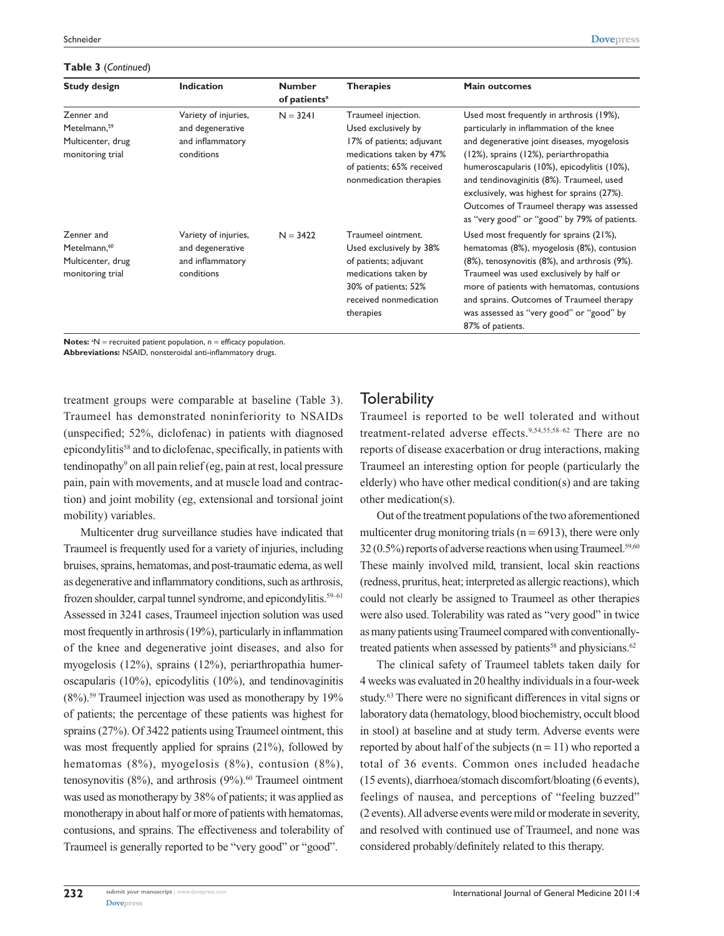#### **Table 3** (*Continued*)

| <b>Study design</b>                                                             | Indication                                                                 | <b>Number</b><br>of patients <sup>a</sup> | <b>Therapies</b>                                                                                                                                              | Main outcomes                                                                                                                                                                                                                                                                                                                                                                                                         |
|---------------------------------------------------------------------------------|----------------------------------------------------------------------------|-------------------------------------------|---------------------------------------------------------------------------------------------------------------------------------------------------------------|-----------------------------------------------------------------------------------------------------------------------------------------------------------------------------------------------------------------------------------------------------------------------------------------------------------------------------------------------------------------------------------------------------------------------|
| Zenner and<br>Metelmann, <sup>59</sup><br>Multicenter, drug<br>monitoring trial | Variety of injuries,<br>and degenerative<br>and inflammatory<br>conditions | $N = 3241$                                | Traumeel injection.<br>Used exclusively by<br>17% of patients; adjuvant<br>medications taken by 47%<br>of patients; 65% received<br>nonmedication therapies   | Used most frequently in arthrosis (19%),<br>particularly in inflammation of the knee<br>and degenerative joint diseases, myogelosis<br>(12%), sprains (12%), periarthropathia<br>humeroscapularis (10%), epicodylitis (10%),<br>and tendinovaginitis (8%). Traumeel, used<br>exclusively, was highest for sprains (27%).<br>Outcomes of Traumeel therapy was assessed<br>as "very good" or "good" by 79% of patients. |
| Zenner and<br>Metelmann, <sup>60</sup><br>Multicenter, drug<br>monitoring trial | Variety of injuries,<br>and degenerative<br>and inflammatory<br>conditions | $N = 3422$                                | Traumeel ointment.<br>Used exclusively by 38%<br>of patients; adjuvant<br>medications taken by<br>30% of patients; 52%<br>received nonmedication<br>therapies | Used most frequently for sprains (21%),<br>hematomas (8%), myogelosis (8%), contusion<br>(8%), tenosynovitis (8%), and arthrosis (9%).<br>Traumeel was used exclusively by half or<br>more of patients with hematomas, contusions<br>and sprains. Outcomes of Traumeel therapy<br>was assessed as "very good" or "good" by<br>87% of patients.                                                                        |

**Notes:**  ${}^{\text{a}}\text{N}$  = recruited patient population,  $n$  = efficacy population.

**Abbreviations:** NSAID, nonsteroidal anti-inflammatory drugs.

treatment groups were comparable at baseline (Table 3). Traumeel has demonstrated noninferiority to NSAIDs (unspecified; 52%, diclofenac) in patients with diagnosed epicondylitis<sup>58</sup> and to diclofenac, specifically, in patients with tendinopathy<sup>9</sup> on all pain relief (eg, pain at rest, local pressure pain, pain with movements, and at muscle load and contraction) and joint mobility (eg, extensional and torsional joint mobility) variables.

Multicenter drug surveillance studies have indicated that Traumeel is frequently used for a variety of injuries, including bruises, sprains, hematomas, and post-traumatic edema, as well as degenerative and inflammatory conditions, such as arthrosis, frozen shoulder, carpal tunnel syndrome, and epicondylitis.<sup>59–61</sup> Assessed in 3241 cases, Traumeel injection solution was used most frequently in arthrosis (19%), particularly in inflammation of the knee and degenerative joint diseases, and also for myogelosis (12%), sprains (12%), periarthropathia humeroscapularis (10%), epicodylitis (10%), and tendinovaginitis  $(8\%)$ .<sup>59</sup> Traumeel injection was used as monotherapy by 19% of patients; the percentage of these patients was highest for sprains (27%). Of 3422 patients using Traumeel ointment, this was most frequently applied for sprains (21%), followed by hematomas (8%), myogelosis (8%), contusion (8%), tenosynovitis  $(8\%)$ , and arthrosis  $(9\%)$ .<sup>60</sup> Traumeel ointment was used as monotherapy by 38% of patients; it was applied as monotherapy in about half or more of patients with hematomas, contusions, and sprains. The effectiveness and tolerability of Traumeel is generally reported to be "very good" or "good".

### **Tolerability**

Traumeel is reported to be well tolerated and without treatment-related adverse effects.9,54,55,58–62 There are no reports of disease exacerbation or drug interactions, making Traumeel an interesting option for people (particularly the elderly) who have other medical condition(s) and are taking other medication(s).

Out of the treatment populations of the two aforementioned multicenter drug monitoring trials ( $n = 6913$ ), there were only  $32(0.5\%)$  reports of adverse reactions when using Traumeel.<sup>59,60</sup> These mainly involved mild, transient, local skin reactions (redness, pruritus, heat; interpreted as allergic reactions), which could not clearly be assigned to Traumeel as other therapies were also used. Tolerability was rated as "very good" in twice as many patients using Traumeel compared with conventionallytreated patients when assessed by patients<sup>58</sup> and physicians.<sup>62</sup>

The clinical safety of Traumeel tablets taken daily for 4 weeks was evaluated in 20 healthy individuals in a four-week study.63 There were no significant differences in vital signs or laboratory data (hematology, blood biochemistry, occult blood in stool) at baseline and at study term. Adverse events were reported by about half of the subjects  $(n = 11)$  who reported a total of 36 events. Common ones included headache (15 events), diarrhoea/stomach discomfort/bloating (6 events), feelings of nausea, and perceptions of "feeling buzzed" (2 events). All adverse events were mild or moderate in severity, and resolved with continued use of Traumeel, and none was considered probably/definitely related to this therapy.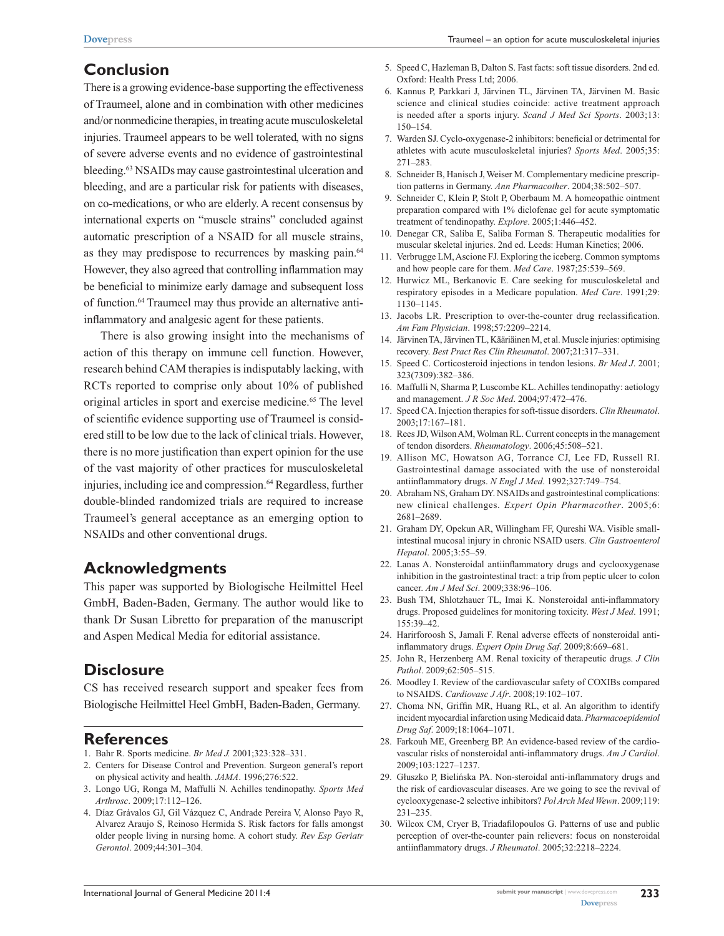# **Conclusion**

There is a growing evidence-base supporting the effectiveness of Traumeel, alone and in combination with other medicines and/or nonmedicine therapies, in treating acute musculoskeletal injuries. Traumeel appears to be well tolerated, with no signs of severe adverse events and no evidence of gastrointestinal bleeding.63 NSAIDs may cause gastrointestinal ulceration and bleeding, and are a particular risk for patients with diseases, on co-medications, or who are elderly. A recent consensus by international experts on "muscle strains" concluded against automatic prescription of a NSAID for all muscle strains, as they may predispose to recurrences by masking pain.<sup>64</sup> However, they also agreed that controlling inflammation may be beneficial to minimize early damage and subsequent loss of function.64 Traumeel may thus provide an alternative antiinflammatory and analgesic agent for these patients.

There is also growing insight into the mechanisms of action of this therapy on immune cell function. However, research behind CAM therapies is indisputably lacking, with RCTs reported to comprise only about 10% of published original articles in sport and exercise medicine.<sup>65</sup> The level of scientific evidence supporting use of Traumeel is considered still to be low due to the lack of clinical trials. However, there is no more justification than expert opinion for the use of the vast majority of other practices for musculoskeletal injuries, including ice and compression.64 Regardless, further double-blinded randomized trials are required to increase Traumeel's general acceptance as an emerging option to NSAIDs and other conventional drugs.

# **Acknowledgments**

This paper was supported by Biologische Heilmittel Heel GmbH, Baden-Baden, Germany. The author would like to thank Dr Susan Libretto for preparation of the manuscript and Aspen Medical Media for editorial assistance.

# **Disclosure**

CS has received research support and speaker fees from Biologische Heilmittel Heel GmbH, Baden-Baden, Germany.

### **References**

- 1. Bahr R. Sports medicine. *Br Med J.* 2001;323:328–331.
- 2. Centers for Disease Control and Prevention. Surgeon general's report on physical activity and health. *JAMA*. 1996;276:522.
- 3. Longo UG, Ronga M, Maffulli N. Achilles tendinopathy. *Sports Med Arthrosc*. 2009;17:112–126.
- 4. Díaz Grávalos GJ, Gil Vázquez C, Andrade Pereira V, Alonso Payo R, Alvarez Araujo S, Reinoso Hermida S. Risk factors for falls amongst older people living in nursing home. A cohort study. *Rev Esp Geriatr Gerontol*. 2009;44:301–304.
- 5. Speed C, Hazleman B, Dalton S. Fast facts: soft tissue disorders. 2nd ed. Oxford: Health Press Ltd; 2006.
- 6. Kannus P, Parkkari J, Järvinen TL, Järvinen TA, Järvinen M. Basic science and clinical studies coincide: active treatment approach is needed after a sports injury. *Scand J Med Sci Sports*. 2003;13: 150–154.
- 7. Warden SJ. Cyclo-oxygenase-2 inhibitors: beneficial or detrimental for athletes with acute musculoskeletal injuries? *Sports Med*. 2005;35: 271–283.
- 8. Schneider B, Hanisch J, Weiser M. Complementary medicine prescription patterns in Germany. *Ann Pharmacother*. 2004;38:502–507.
- 9. Schneider C, Klein P, Stolt P, Oberbaum M. A homeopathic ointment preparation compared with 1% diclofenac gel for acute symptomatic treatment of tendinopathy. *Explore*. 2005;1:446–452.
- 10. Denegar CR, Saliba E, Saliba Forman S. Therapeutic modalities for muscular skeletal injuries. 2nd ed. Leeds: Human Kinetics; 2006.
- 11. Verbrugge LM, Ascione FJ. Exploring the iceberg. Common symptoms and how people care for them. *Med Care*. 1987;25:539–569.
- 12. Hurwicz ML, Berkanovic E. Care seeking for musculoskeletal and respiratory episodes in a Medicare population. *Med Care*. 1991;29: 1130–1145.
- 13. Jacobs LR. Prescription to over-the-counter drug reclassification. *Am Fam Physician*. 1998;57:2209–2214.
- 14. Järvinen TA, Järvinen TL, Kääriäinen M, et al. Muscle injuries: optimising recovery. *Best Pract Res Clin Rheumatol*. 2007;21:317–331.
- 15. Speed C. Corticosteroid injections in tendon lesions. *Br Med J*. 2001; 323(7309):382–386.
- 16. Maffulli N, Sharma P, Luscombe KL. Achilles tendinopathy: aetiology and management. *J R Soc Med*. 2004;97:472–476.
- 17. Speed CA. Injection therapies for soft-tissue disorders. *Clin Rheumatol*. 2003;17:167–181.
- 18. Rees JD, Wilson AM, Wolman RL. Current concepts in the management of tendon disorders. *Rheumatology*. 2006;45:508–521.
- 19. Allison MC, Howatson AG, Torrance CJ, Lee FD, Russell RI. Gastrointestinal damage associated with the use of nonsteroidal antiinflammatory drugs. *N Engl J Med*. 1992;327:749–754.
- 20. Abraham NS, Graham DY. NSAIDs and gastrointestinal complications: new clinical challenges. *Expert Opin Pharmacother*. 2005;6: 2681–2689.
- 21. Graham DY, Opekun AR, Willingham FF, Qureshi WA. Visible smallintestinal mucosal injury in chronic NSAID users. *Clin Gastroenterol Hepatol*. 2005;3:55–59.
- 22. Lanas A. Nonsteroidal antiinflammatory drugs and cyclooxygenase inhibition in the gastrointestinal tract: a trip from peptic ulcer to colon cancer. *Am J Med Sci*. 2009;338:96–106.
- 23. Bush TM, Shlotzhauer TL, Imai K. Nonsteroidal anti-inflammatory drugs. Proposed guidelines for monitoring toxicity. *West J Med*. 1991; 155:39–42.
- 24. Harirforoosh S, Jamali F. Renal adverse effects of nonsteroidal antiinflammatory drugs. *Expert Opin Drug Saf*. 2009;8:669–681.
- 25. John R, Herzenberg AM. Renal toxicity of therapeutic drugs. *J Clin Pathol*. 2009;62:505–515.
- 26. Moodley I. Review of the cardiovascular safety of COXIBs compared to NSAIDS. *Cardiovasc J Afr*. 2008;19:102–107.
- 27. Choma NN, Griffin MR, Huang RL, et al. An algorithm to identify incident myocardial infarction using Medicaid data. *Pharmacoepidemiol Drug Saf*. 2009;18:1064–1071.
- 28. Farkouh ME, Greenberg BP. An evidence-based review of the cardiovascular risks of nonsteroidal anti-inflammatory drugs. *Am J Cardiol*. 2009;103:1227–1237.
- 29. Głuszko P, Bielińska PA. Non-steroidal anti-inflammatory drugs and the risk of cardiovascular diseases. Are we going to see the revival of cyclooxygenase-2 selective inhibitors? *Pol Arch Med Wewn*. 2009;119: 231–235.
- 30. Wilcox CM, Cryer B, Triadafilopoulos G. Patterns of use and public perception of over-the-counter pain relievers: focus on nonsteroidal antiinflammatory drugs. *J Rheumatol*. 2005;32:2218–2224.